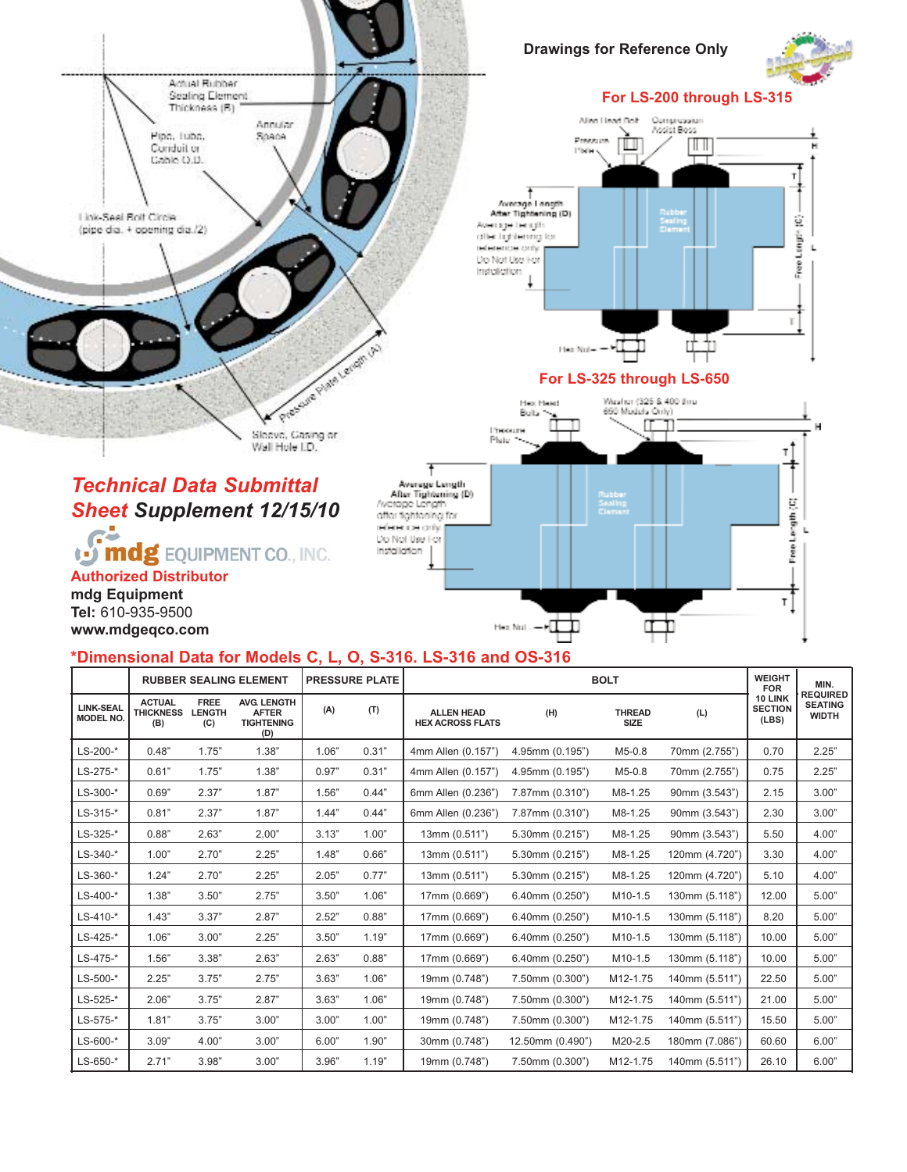

### **\*Dimensional Data for Models C, L, O, S-316. LS-316 and OS-316**

|                                      | <b>RUBBER SEALING ELEMENT</b>            |                                     |                                                                | <b>PRESSURE PLATE</b> |       | <b>BOLT</b>                                  |                      |                              |                | <b>WEIGHT</b><br><b>FOR</b>        | MIN.                                              |
|--------------------------------------|------------------------------------------|-------------------------------------|----------------------------------------------------------------|-----------------------|-------|----------------------------------------------|----------------------|------------------------------|----------------|------------------------------------|---------------------------------------------------|
| <b>LINK-SEAL</b><br><b>MODEL NO.</b> | <b>ACTUAL</b><br><b>THICKNESS</b><br>(B) | <b>FREE</b><br><b>LENGTH</b><br>(C) | <b>AVG. LENGTH</b><br><b>AFTER</b><br><b>TIGHTENING</b><br>(D) | (A)                   | (T)   | <b>ALLEN HEAD</b><br><b>HEX ACROSS FLATS</b> | (H)                  | <b>THREAD</b><br><b>SIZE</b> | (L)            | 10 LINK<br><b>SECTION</b><br>(LES) | <b>REQUIRED</b><br><b>SEATING</b><br><b>WIDTH</b> |
| $LS-200-*$                           | 0.48"                                    | 1.75"                               | 1.38"                                                          | 1.06"                 | 0.31" | 4mm Allen (0.157")                           | 4.95mm (0.195")      | $M5-0.8$                     | 70mm (2.755")  | 0.70                               | 2.25"                                             |
| $LS - 275 -$ *                       | 0.61"                                    | 1.75"                               | 1.38"                                                          | 0.97"                 | 0.31" | 4mm Allen (0.157")                           | 4.95mm (0.195")      | $M5-0.8$                     | 70mm (2.755")  | 0.75                               | 2.25"                                             |
| $LS-300-$ *                          | 0.69"                                    | 2.37"                               | 1.87"                                                          | 1.56"                 | 0.44" | 6mm Allen (0.236")                           | 7.87mm (0.310")      | M8-1.25                      | 90mm (3.543")  | 2.15                               | 3.00"                                             |
| $LS - 315 -$ *                       | 0.81"                                    | 2.37"                               | 1.87"                                                          | 1.44"                 | 0.44" | 6mm Allen (0.236")                           | 7.87mm (0.310")      | M8-1.25                      | 90mm (3.543")  | 2.30                               | 3.00"                                             |
| $LS-325-*$                           | 0.88"                                    | 2.63"                               | 2.00"                                                          | 3.13"                 | 1.00" | 13mm (0.511")                                | 5.30mm (0.215")      | M8-1.25                      | 90mm (3.543")  | 5.50                               | 4.00"                                             |
| $LS - 340 - *$                       | 1.00"                                    | 2.70"                               | 2.25"                                                          | 1.48"                 | 0.66" | 13mm (0.511")                                | 5.30mm (0.215")      | M8-1.25                      | 120mm (4.720") | 3.30                               | 4.00"                                             |
| $LS - 360 - *$                       | 1.24"                                    | 2.70"                               | 2.25"                                                          | 2.05"                 | 0.77" | 13mm (0.511")                                | $5.30$ mm $(0.215")$ | M8-1.25                      | 120mm (4.720") | 5.10                               | 4.00"                                             |
| $LS-400-*$                           | 1.38"                                    | 3.50"                               | 2.75"                                                          | 3.50"                 | 1.06" | 17mm (0.669")                                | $6.40$ mm $(0.250")$ | M10-1.5                      | 130mm (5.118") | 12.00                              | 5.00"                                             |
| $LS-410-*$                           | 1.43"                                    | 3.37"                               | 2.87"                                                          | 2.52"                 | 0.88" | 17mm (0.669")                                | $6.40$ mm $(0.250")$ | M10-1.5                      | 130mm (5.118") | 8.20                               | 5.00"                                             |
| $LS-425-*$                           | 1.06"                                    | 3.00"                               | 2.25"                                                          | 3.50"                 | 1.19" | 17mm (0.669")                                | 6.40mm (0.250")      | M10-1.5                      | 130mm (5.118") | 10.00                              | 5.00"                                             |
| $LS-475-*$                           | 1.56"                                    | 3.38"                               | 2.63"                                                          | 2.63"                 | 0.88" | 17mm (0.669")                                | $6.40$ mm $(0.250")$ | M10-1.5                      | 130mm (5.118") | 10.00                              | 5.00"                                             |
| $LS-500-*$                           | 2.25"                                    | 3.75"                               | 2.75"                                                          | 3.63"                 | 1.06" | 19mm (0.748")                                | 7.50mm (0.300")      | M12-1.75                     | 140mm (5.511") | 22.50                              | 5.00"                                             |
| $LS - 525 -$ *                       | 2.06"                                    | 3.75"                               | 2.87"                                                          | 3.63"                 | 1.06" | 19mm (0.748")                                | 7.50mm (0.300")      | M12-1.75                     | 140mm (5.511") | 21.00                              | 5.00"                                             |
| $LS - 575 -$ *                       | 1.81"                                    | 3.75"                               | 3.00"                                                          | 3.00"                 | 1.00" | 19mm (0.748")                                | 7.50mm (0.300")      | M12-1.75                     | 140mm (5.511") | 15.50                              | 5.00"                                             |
| $LS-600-*$                           | 3.09"                                    | 4.00"                               | 3.00"                                                          | 6.00"                 | 1.90" | 30mm (0.748")                                | 12.50mm (0.490")     | M20-2.5                      | 180mm (7.086") | 60.60                              | 6.00"                                             |
| $LS-650-*$                           | 2.71"                                    | 3.98"                               | 3.00"                                                          | 3.96"                 | 1.19" | 19mm (0.748")                                | 7.50mm (0.300")      | M12-1.75                     | 140mm (5.511") | 26.10                              | 6.00"                                             |